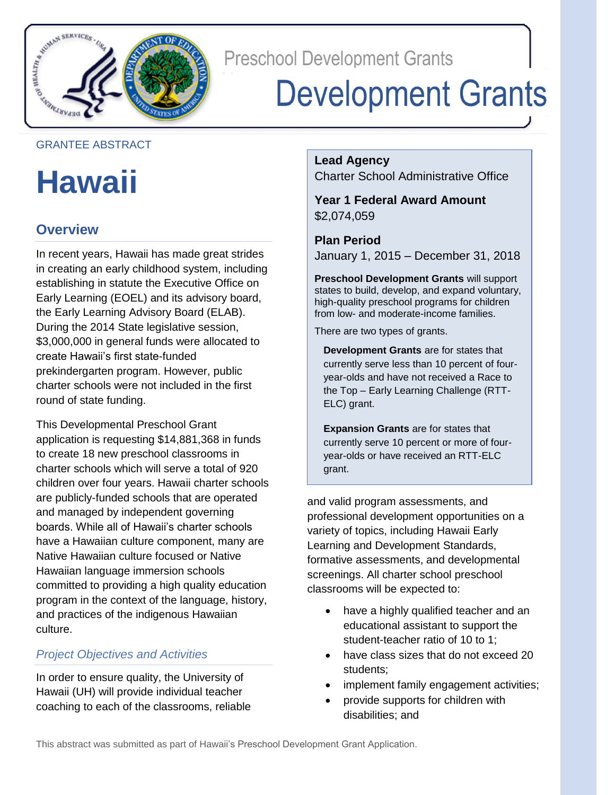

**Preschool Development Grants** 

# **Development Grants**

#### GRANTEE ABSTRACT

## **Hawaii**

### **Overview**

In recent years, Hawaii has made great strides in creating an early childhood system, including establishing in statute the Executive Office on Early Learning (EOEL) and its advisory board, the Early Learning Advisory Board (ELAB). During the 2014 State legislative session, \$3,000,000 in general funds were allocated to create Hawaii's first state-funded prekindergarten program. However, public charter schools were not included in the first round of state funding.

This Developmental Preschool Grant application is requesting \$14,881,368 in funds to create 18 new preschool classrooms in charter schools which will serve a total of 920 children over four years. Hawaii charter schools are publicly-funded schools that are operated and managed by independent governing boards. While all of Hawaii's charter schools have a Hawaiian culture component, many are Native Hawaiian culture focused or Native Hawaiian language immersion schools committed to providing a high quality education program in the context of the language, history, and practices of the indigenous Hawaiian culture.

### *Project Objectives and Activities*

In order to ensure quality, the University of Hawaii (UH) will provide individual teacher coaching to each of the classrooms, reliable **Lead Agency** Charter School Administrative Office

**Year 1 Federal Award Amount** \$2,074,059

**Plan Period** January 1, 2015 – December 31, 2018

**Preschool Development Grants** will support states to build, develop, and expand voluntary, high-quality preschool programs for children from low- and moderate-income families.

There are two types of grants.

**Development Grants** are for states that currently serve less than 10 percent of fouryear-olds and have not received a Race to the Top – Early Learning Challenge (RTT-ELC) grant.

**Expansion Grants** are for states that currently serve 10 percent or more of fouryear-olds or have received an RTT-ELC grant.

and valid program assessments, and professional development opportunities on a variety of topics, including Hawaii Early Learning and Development Standards, formative assessments, and developmental screenings. All charter school preschool classrooms will be expected to:

- have a highly qualified teacher and an educational assistant to support the student-teacher ratio of 10 to 1;
- have class sizes that do not exceed 20 students;
- implement family engagement activities;
- provide supports for children with disabilities; and